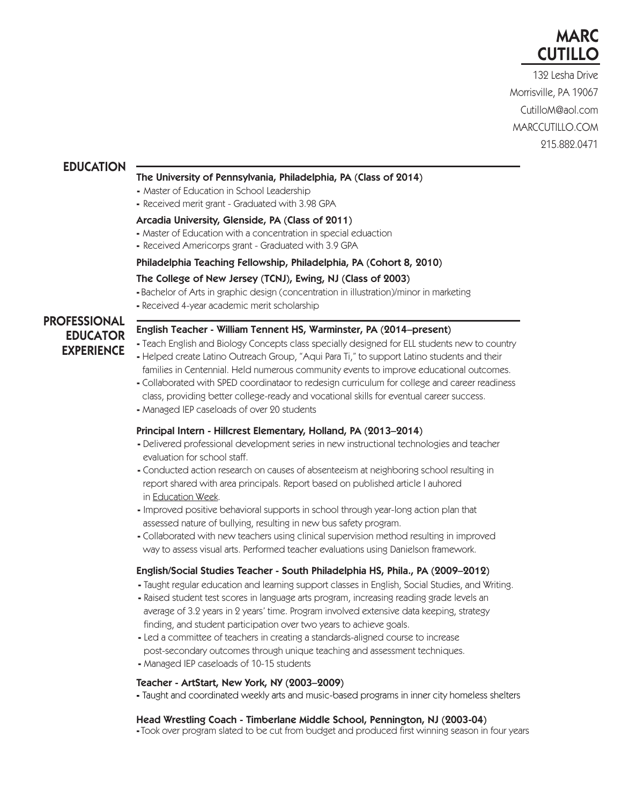

132 Lesha Drive Morrisville, PA 19067 CutilloM@aol.com CutilloM@aol.com MARCCUTILLO.COM MARCCUTILLO.COM 215.882.0471 215.882.0471

## EDUCATION

#### The University of Pennsylvania, Philadelphia, PA (Class of 2014)

- Master of Education in School Leadership
- Received merit grant Graduated with 3.98 GPA

#### Arcadia University, Glenside, PA (Class of 2011)

- Master of Education with a concentration in special eduaction
- Received Americorps grant Graduated with 3.9 GPA

## Philadelphia Teaching Fellowship, Philadelphia, PA (Cohort 8, 2010)

## The College of New Jersey (TCNJ), Ewing, NJ (Class of 2003)

- Bachelor of Arts in graphic design (concentration in illustration)/minor in marketing

- Received 4-year academic merit scholarship

# PROFESSIONAL EDUCATOR EXPERIENCE

#### English Teacher - William Tennent HS, Warminster, PA (2014–present)

- Teach English and Biology Concepts class specially designed for ELL students new to country
- Helped create Latino Outreach Group, "Aqui Para Ti," to support Latino students and their families in Centennial. Held numerous community events to improve educational outcomes.
- Collaborated with SPED coordinataor to redesign curriculum for college and career readiness class, providing better college-ready and vocational skills for eventual career success.
- Managed IEP caseloads of over 20 students

#### Principal Intern - Hillcrest Elementary, Holland, PA (2013–2014)

- Delivered professional development series in new instructional technologies and teacher evaluation for school staff.
- Conducted action research on causes of absenteeism at neighboring school resulting in report shared with area principals. Report based on published article I auhored in Education Week.
- Improved positive behavioral supports in school through year-long action plan that assessed nature of bullying, resulting in new bus safety program.
- Collaborated with new teachers using clinical supervision method resulting in improved way to assess visual arts. Performed teacher evaluations using Danielson framework.

#### English/Social Studies Teacher - South Philadelphia HS, Phila., PA (2009–2012)

- Taught regular education and learning support classes in English, Social Studies, and Writing.
- Raised student test scores in language arts program, increasing reading grade levels an average of 3.2 years in 2 years' time. Program involved extensive data keeping, strategy finding, and student participation over two years to achieve goals.
- Led a committee of teachers in creating a standards-aligned course to increase post-secondary outcomes through unique teaching and assessment techniques.
- Managed IEP caseloads of 10-15 students

#### Teacher - ArtStart, New York, NY (2003–2009)

- Taught and coordinated weekly arts and music-based programs in inner city homeless shelters

#### Head Wrestling Coach - Timberlane Middle School, Pennington, NJ (2003-04)

- Took over program slated to be cut from budget and produced first winning season in four years